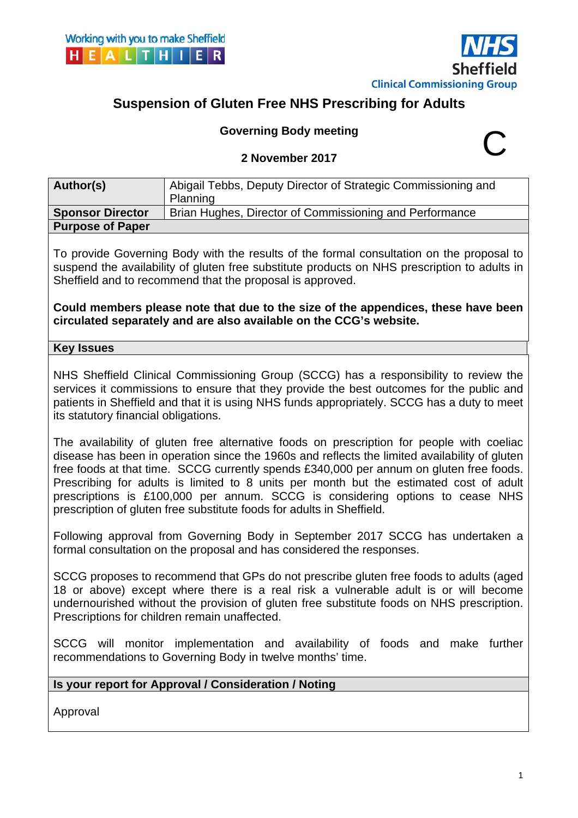

C

# **Suspension of Gluten Free NHS Prescribing for Adults**

### **Governing Body meeting**

**2 November 2017** 

| Author(s)               | Abigail Tebbs, Deputy Director of Strategic Commissioning and |
|-------------------------|---------------------------------------------------------------|
|                         | Planning                                                      |
| <b>Sponsor Director</b> | Brian Hughes, Director of Commissioning and Performance       |
| <b>Purpose of Paper</b> |                                                               |

To provide Governing Body with the results of the formal consultation on the proposal to suspend the availability of gluten free substitute products on NHS prescription to adults in Sheffield and to recommend that the proposal is approved.

**Could members please note that due to the size of the appendices, these have been circulated separately and are also available on the CCG's website.** 

#### **Key Issues**

NHS Sheffield Clinical Commissioning Group (SCCG) has a responsibility to review the services it commissions to ensure that they provide the best outcomes for the public and patients in Sheffield and that it is using NHS funds appropriately. SCCG has a duty to meet its statutory financial obligations.

The availability of gluten free alternative foods on prescription for people with coeliac disease has been in operation since the 1960s and reflects the limited availability of gluten free foods at that time. SCCG currently spends £340,000 per annum on gluten free foods. Prescribing for adults is limited to 8 units per month but the estimated cost of adult prescriptions is £100,000 per annum. SCCG is considering options to cease NHS prescription of gluten free substitute foods for adults in Sheffield.

Following approval from Governing Body in September 2017 SCCG has undertaken a formal consultation on the proposal and has considered the responses.

SCCG proposes to recommend that GPs do not prescribe gluten free foods to adults (aged 18 or above) except where there is a real risk a vulnerable adult is or will become undernourished without the provision of gluten free substitute foods on NHS prescription. Prescriptions for children remain unaffected.

SCCG will monitor implementation and availability of foods and make further recommendations to Governing Body in twelve months' time.

#### **Is your report for Approval / Consideration / Noting**

Approval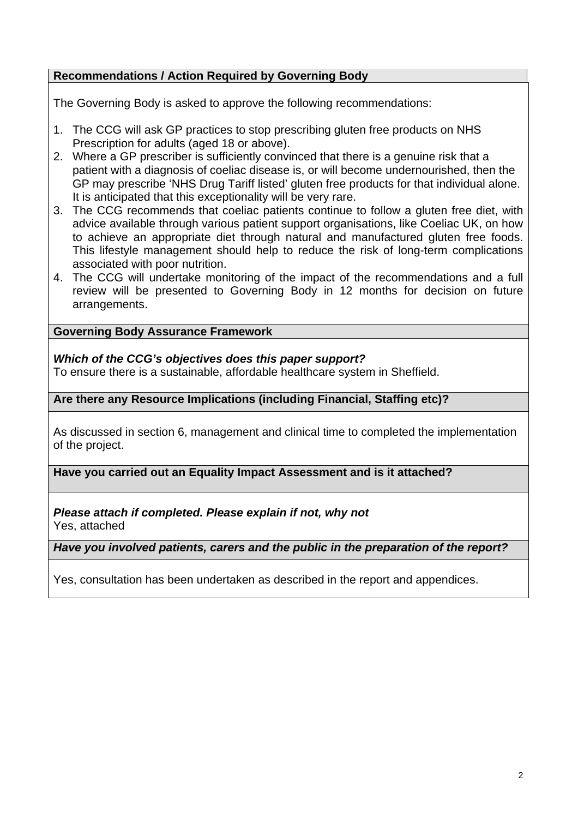# **Recommendations / Action Required by Governing Body**

The Governing Body is asked to approve the following recommendations:

- 1. The CCG will ask GP practices to stop prescribing gluten free products on NHS Prescription for adults (aged 18 or above).
- 2. Where a GP prescriber is sufficiently convinced that there is a genuine risk that a patient with a diagnosis of coeliac disease is, or will become undernourished, then the GP may prescribe 'NHS Drug Tariff listed' gluten free products for that individual alone. It is anticipated that this exceptionality will be very rare.
- 3. The CCG recommends that coeliac patients continue to follow a gluten free diet, with advice available through various patient support organisations, like Coeliac UK, on how to achieve an appropriate diet through natural and manufactured gluten free foods. This lifestyle management should help to reduce the risk of long-term complications associated with poor nutrition.
- 4. The CCG will undertake monitoring of the impact of the recommendations and a full review will be presented to Governing Body in 12 months for decision on future arrangements.

**Governing Body Assurance Framework** 

*Which of the CCG's objectives does this paper support?* 

To ensure there is a sustainable, affordable healthcare system in Sheffield.

**Are there any Resource Implications (including Financial, Staffing etc)?** 

As discussed in section 6, management and clinical time to completed the implementation of the project.

**Have you carried out an Equality Impact Assessment and is it attached?** 

*Please attach if completed. Please explain if not, why not*  Yes, attached

*Have you involved patients, carers and the public in the preparation of the report?* 

Yes, consultation has been undertaken as described in the report and appendices.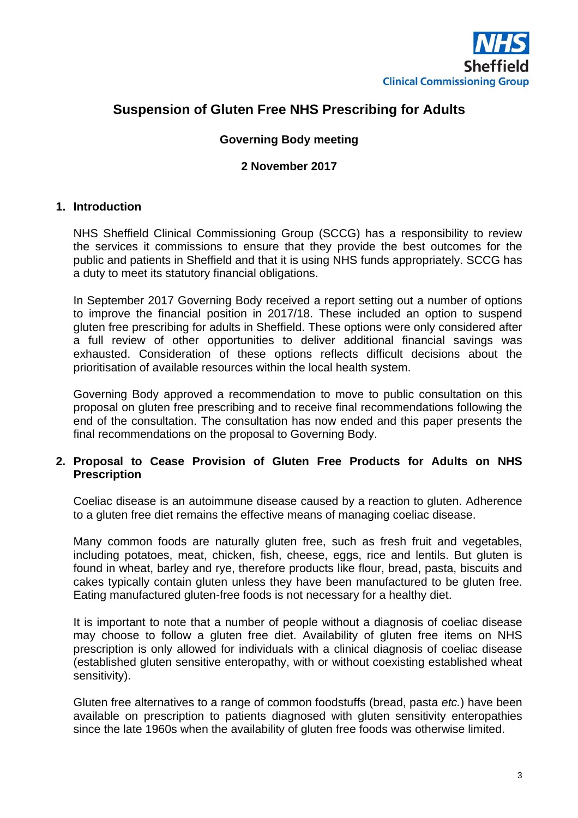

# **Suspension of Gluten Free NHS Prescribing for Adults**

## **Governing Body meeting**

#### **2 November 2017**

#### **1. Introduction**

NHS Sheffield Clinical Commissioning Group (SCCG) has a responsibility to review the services it commissions to ensure that they provide the best outcomes for the public and patients in Sheffield and that it is using NHS funds appropriately. SCCG has a duty to meet its statutory financial obligations.

In September 2017 Governing Body received a report setting out a number of options to improve the financial position in 2017/18. These included an option to suspend gluten free prescribing for adults in Sheffield. These options were only considered after a full review of other opportunities to deliver additional financial savings was exhausted. Consideration of these options reflects difficult decisions about the prioritisation of available resources within the local health system.

Governing Body approved a recommendation to move to public consultation on this proposal on gluten free prescribing and to receive final recommendations following the end of the consultation. The consultation has now ended and this paper presents the final recommendations on the proposal to Governing Body.

#### **2. Proposal to Cease Provision of Gluten Free Products for Adults on NHS Prescription**

Coeliac disease is an autoimmune disease caused by a reaction to gluten. Adherence to a gluten free diet remains the effective means of managing coeliac disease.

Many common foods are naturally gluten free, such as fresh fruit and vegetables, including potatoes, meat, chicken, fish, cheese, eggs, rice and lentils. But gluten is found in wheat, barley and rye, therefore products like flour, bread, pasta, biscuits and cakes typically contain gluten unless they have been manufactured to be gluten free. Eating manufactured gluten-free foods is not necessary for a healthy diet.

It is important to note that a number of people without a diagnosis of coeliac disease may choose to follow a gluten free diet. Availability of gluten free items on NHS prescription is only allowed for individuals with a clinical diagnosis of coeliac disease (established gluten sensitive enteropathy, with or without coexisting established wheat sensitivity).

Gluten free alternatives to a range of common foodstuffs (bread, pasta *etc.*) have been available on prescription to patients diagnosed with gluten sensitivity enteropathies since the late 1960s when the availability of gluten free foods was otherwise limited.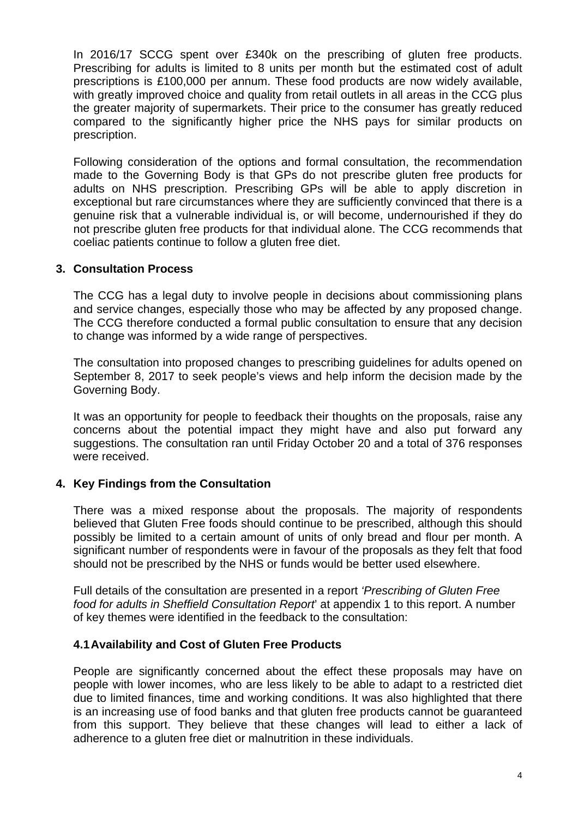In 2016/17 SCCG spent over £340k on the prescribing of gluten free products. Prescribing for adults is limited to 8 units per month but the estimated cost of adult prescriptions is £100,000 per annum. These food products are now widely available, with greatly improved choice and quality from retail outlets in all areas in the CCG plus the greater majority of supermarkets. Their price to the consumer has greatly reduced compared to the significantly higher price the NHS pays for similar products on prescription.

Following consideration of the options and formal consultation, the recommendation made to the Governing Body is that GPs do not prescribe gluten free products for adults on NHS prescription. Prescribing GPs will be able to apply discretion in exceptional but rare circumstances where they are sufficiently convinced that there is a genuine risk that a vulnerable individual is, or will become, undernourished if they do not prescribe gluten free products for that individual alone. The CCG recommends that coeliac patients continue to follow a gluten free diet.

### **3. Consultation Process**

The CCG has a legal duty to involve people in decisions about commissioning plans and service changes, especially those who may be affected by any proposed change. The CCG therefore conducted a formal public consultation to ensure that any decision to change was informed by a wide range of perspectives.

The consultation into proposed changes to prescribing guidelines for adults opened on September 8, 2017 to seek people's views and help inform the decision made by the Governing Body.

It was an opportunity for people to feedback their thoughts on the proposals, raise any concerns about the potential impact they might have and also put forward any suggestions. The consultation ran until Friday October 20 and a total of 376 responses were received.

#### **4. Key Findings from the Consultation**

There was a mixed response about the proposals. The majority of respondents believed that Gluten Free foods should continue to be prescribed, although this should possibly be limited to a certain amount of units of only bread and flour per month. A significant number of respondents were in favour of the proposals as they felt that food should not be prescribed by the NHS or funds would be better used elsewhere.

Full details of the consultation are presented in a report *'Prescribing of Gluten Free food for adults in Sheffield Consultation Report*' at appendix 1 to this report. A number of key themes were identified in the feedback to the consultation:

#### **4.1 Availability and Cost of Gluten Free Products**

People are significantly concerned about the effect these proposals may have on people with lower incomes, who are less likely to be able to adapt to a restricted diet due to limited finances, time and working conditions. It was also highlighted that there is an increasing use of food banks and that gluten free products cannot be guaranteed from this support. They believe that these changes will lead to either a lack of adherence to a gluten free diet or malnutrition in these individuals.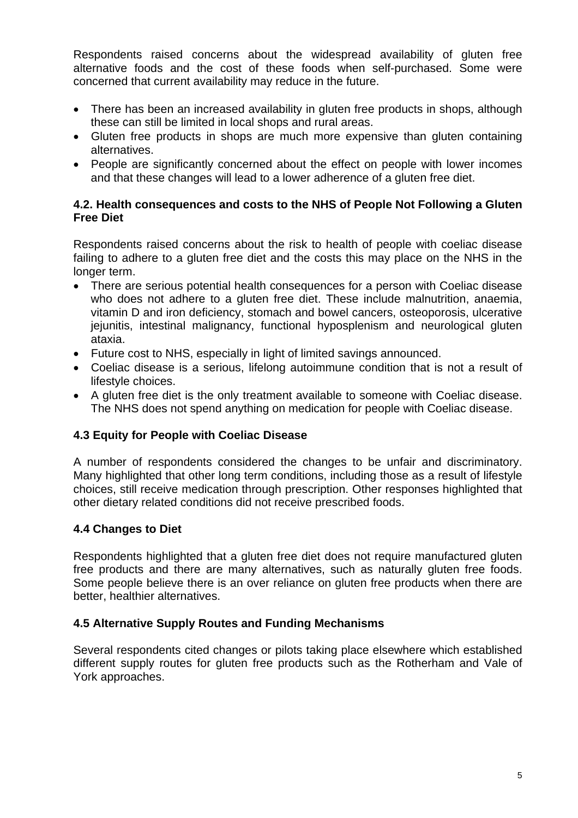Respondents raised concerns about the widespread availability of gluten free alternative foods and the cost of these foods when self-purchased. Some were concerned that current availability may reduce in the future.

- There has been an increased availability in gluten free products in shops, although these can still be limited in local shops and rural areas.
- Gluten free products in shops are much more expensive than gluten containing alternatives.
- People are significantly concerned about the effect on people with lower incomes and that these changes will lead to a lower adherence of a gluten free diet.

## **4.2. Health consequences and costs to the NHS of People Not Following a Gluten Free Diet**

Respondents raised concerns about the risk to health of people with coeliac disease failing to adhere to a gluten free diet and the costs this may place on the NHS in the longer term.

- There are serious potential health consequences for a person with Coeliac disease who does not adhere to a gluten free diet. These include malnutrition, anaemia, vitamin D and iron deficiency, stomach and bowel cancers, osteoporosis, ulcerative jejunitis, intestinal malignancy, functional hyposplenism and neurological gluten ataxia.
- Future cost to NHS, especially in light of limited savings announced.
- Coeliac disease is a serious, lifelong autoimmune condition that is not a result of lifestyle choices.
- A gluten free diet is the only treatment available to someone with Coeliac disease. The NHS does not spend anything on medication for people with Coeliac disease.

## **4.3 Equity for People with Coeliac Disease**

A number of respondents considered the changes to be unfair and discriminatory. Many highlighted that other long term conditions, including those as a result of lifestyle choices, still receive medication through prescription. Other responses highlighted that other dietary related conditions did not receive prescribed foods.

## **4.4 Changes to Diet**

Respondents highlighted that a gluten free diet does not require manufactured gluten free products and there are many alternatives, such as naturally gluten free foods. Some people believe there is an over reliance on gluten free products when there are better, healthier alternatives.

## **4.5 Alternative Supply Routes and Funding Mechanisms**

Several respondents cited changes or pilots taking place elsewhere which established different supply routes for gluten free products such as the Rotherham and Vale of York approaches.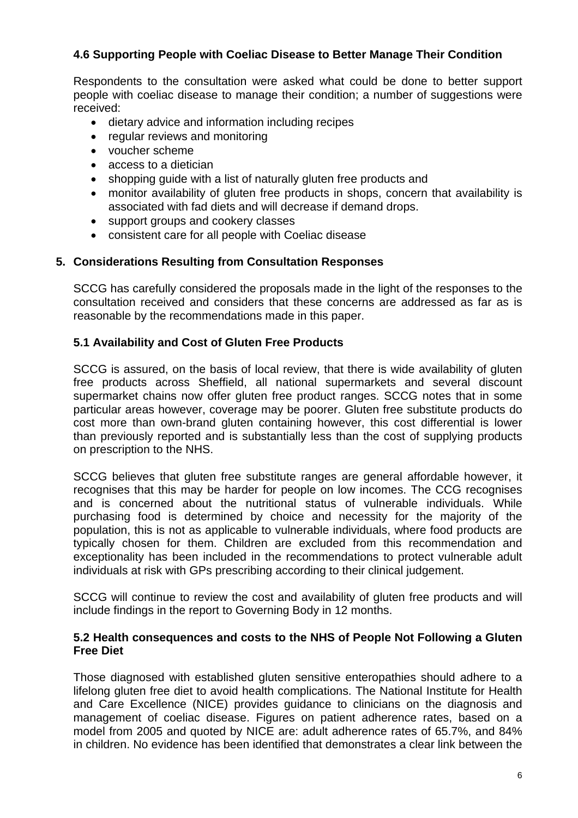# **4.6 Supporting People with Coeliac Disease to Better Manage Their Condition**

Respondents to the consultation were asked what could be done to better support people with coeliac disease to manage their condition; a number of suggestions were received:

- dietary advice and information including recipes
- regular reviews and monitoring
- voucher scheme
- access to a dietician
- shopping quide with a list of naturally gluten free products and
- monitor availability of gluten free products in shops, concern that availability is associated with fad diets and will decrease if demand drops.
- support groups and cookery classes
- consistent care for all people with Coeliac disease

### **5. Considerations Resulting from Consultation Responses**

SCCG has carefully considered the proposals made in the light of the responses to the consultation received and considers that these concerns are addressed as far as is reasonable by the recommendations made in this paper.

### **5.1 Availability and Cost of Gluten Free Products**

SCCG is assured, on the basis of local review, that there is wide availability of gluten free products across Sheffield, all national supermarkets and several discount supermarket chains now offer gluten free product ranges. SCCG notes that in some particular areas however, coverage may be poorer. Gluten free substitute products do cost more than own-brand gluten containing however, this cost differential is lower than previously reported and is substantially less than the cost of supplying products on prescription to the NHS.

SCCG believes that gluten free substitute ranges are general affordable however, it recognises that this may be harder for people on low incomes. The CCG recognises and is concerned about the nutritional status of vulnerable individuals. While purchasing food is determined by choice and necessity for the majority of the population, this is not as applicable to vulnerable individuals, where food products are typically chosen for them. Children are excluded from this recommendation and exceptionality has been included in the recommendations to protect vulnerable adult individuals at risk with GPs prescribing according to their clinical judgement.

SCCG will continue to review the cost and availability of gluten free products and will include findings in the report to Governing Body in 12 months.

#### **5.2 Health consequences and costs to the NHS of People Not Following a Gluten Free Diet**

Those diagnosed with established gluten sensitive enteropathies should adhere to a lifelong gluten free diet to avoid health complications. The National Institute for Health and Care Excellence (NICE) provides guidance to clinicians on the diagnosis and management of coeliac disease. Figures on patient adherence rates, based on a model from 2005 and quoted by NICE are: adult adherence rates of 65.7%, and 84% in children. No evidence has been identified that demonstrates a clear link between the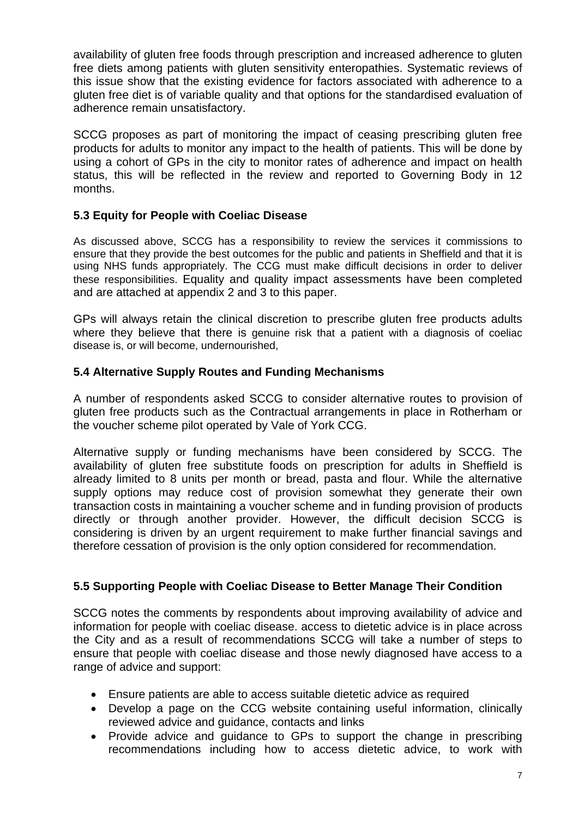availability of gluten free foods through prescription and increased adherence to gluten free diets among patients with gluten sensitivity enteropathies. Systematic reviews of this issue show that the existing evidence for factors associated with adherence to a gluten free diet is of variable quality and that options for the standardised evaluation of adherence remain unsatisfactory.

SCCG proposes as part of monitoring the impact of ceasing prescribing gluten free products for adults to monitor any impact to the health of patients. This will be done by using a cohort of GPs in the city to monitor rates of adherence and impact on health status, this will be reflected in the review and reported to Governing Body in 12 months.

## **5.3 Equity for People with Coeliac Disease**

As discussed above, SCCG has a responsibility to review the services it commissions to ensure that they provide the best outcomes for the public and patients in Sheffield and that it is using NHS funds appropriately. The CCG must make difficult decisions in order to deliver these responsibilities. Equality and quality impact assessments have been completed and are attached at appendix 2 and 3 to this paper.

GPs will always retain the clinical discretion to prescribe gluten free products adults where they believe that there is genuine risk that a patient with a diagnosis of coeliac disease is, or will become, undernourished,

# **5.4 Alternative Supply Routes and Funding Mechanisms**

A number of respondents asked SCCG to consider alternative routes to provision of gluten free products such as the Contractual arrangements in place in Rotherham or the voucher scheme pilot operated by Vale of York CCG.

Alternative supply or funding mechanisms have been considered by SCCG. The availability of gluten free substitute foods on prescription for adults in Sheffield is already limited to 8 units per month or bread, pasta and flour. While the alternative supply options may reduce cost of provision somewhat they generate their own transaction costs in maintaining a voucher scheme and in funding provision of products directly or through another provider. However, the difficult decision SCCG is considering is driven by an urgent requirement to make further financial savings and therefore cessation of provision is the only option considered for recommendation.

## **5.5 Supporting People with Coeliac Disease to Better Manage Their Condition**

SCCG notes the comments by respondents about improving availability of advice and information for people with coeliac disease. access to dietetic advice is in place across the City and as a result of recommendations SCCG will take a number of steps to ensure that people with coeliac disease and those newly diagnosed have access to a range of advice and support:

- Ensure patients are able to access suitable dietetic advice as required
- Develop a page on the CCG website containing useful information, clinically reviewed advice and guidance, contacts and links
- Provide advice and guidance to GPs to support the change in prescribing recommendations including how to access dietetic advice, to work with